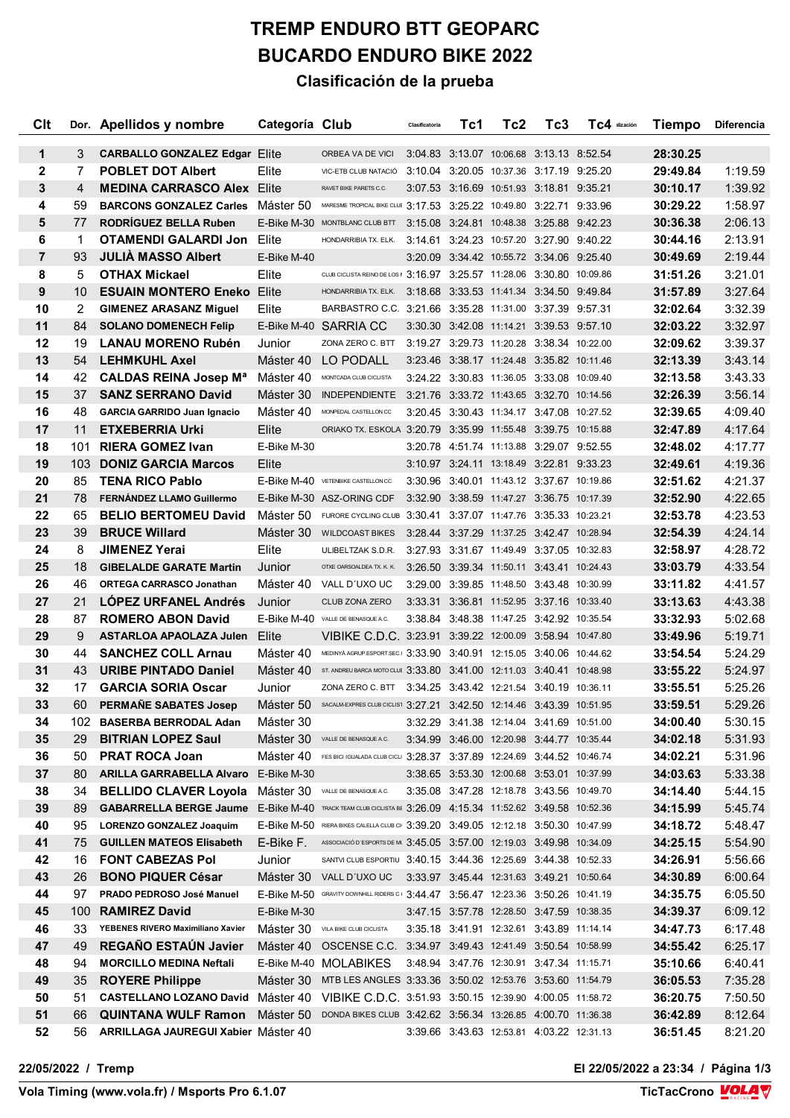## **TREMP ENDURO BTT GEOPARC BUCARDO ENDURO BIKE 2022 Clasificación de la prueba**

| Clt            |     | Dor. Apellidos y nombre                                                                   | Categoría Club |                                                                                   | Clasificatoria | Tc1 | Tc2                                       | Tc3 | TC4 ilización | Tiempo   | <b>Diferencia</b> |
|----------------|-----|-------------------------------------------------------------------------------------------|----------------|-----------------------------------------------------------------------------------|----------------|-----|-------------------------------------------|-----|---------------|----------|-------------------|
| 1              | 3   | <b>CARBALLO GONZALEZ Edgar Elite</b>                                                      |                | ORBEA VA DE VICI                                                                  |                |     | 3:04.83 3:13.07 10:06.68 3:13.13 8:52.54  |     |               | 28:30.25 |                   |
| $\mathbf{2}$   | 7   | <b>POBLET DOT Albert</b>                                                                  | Elite          | VIC-ETB CLUB NATACIÓ                                                              |                |     | 3:10.04 3:20.05 10:37.36 3:17.19 9:25.20  |     |               | 29:49.84 | 1:19.59           |
| 3              | 4   | <b>MEDINA CARRASCO Alex Elite</b>                                                         |                | RAVET BIKE PARETS C.C.                                                            |                |     | 3:07.53 3:16.69 10:51.93 3:18.81 9:35.21  |     |               | 30:10.17 | 1:39.92           |
| 4              | 59  | <b>BARCONS GONZALEZ Carles</b> Máster 50                                                  |                | MARESME TROPICAL BIKE CLUE 3:17.53 3:25.22 10:49.80 3:22.71 9:33.96               |                |     |                                           |     |               | 30:29.22 | 1:58.97           |
| 5              | 77  | <b>RODRIGUEZ BELLA Ruben</b>                                                              |                | E-Bike M-30 MONTBLANC CLUB BTT 3:15.08 3:24.81 10:48.38 3:25.88 9:42.23           |                |     |                                           |     |               | 30:36.38 | 2:06.13           |
| 6              | 1   | <b>OTAMENDI GALARDI Jon</b>                                                               | Elite          | HONDARRIBIA TX. ELK.                                                              |                |     | 3:14.61 3:24.23 10:57.20 3:27.90 9:40.22  |     |               | 30:44.16 | 2:13.91           |
| $\overline{7}$ | 93  | <b>JULIA MASSO Albert</b>                                                                 | E-Bike M-40    |                                                                                   |                |     | 3:20.09 3:34.42 10:55.72 3:34.06 9:25.40  |     |               | 30:49.69 | 2:19.44           |
| 8              | 5   | <b>OTHAX Mickael</b>                                                                      | Elite          | CLUB CICLISTA REINO DE LOS   3:16.97 3:25.57 11:28.06 3:30.80 10:09.86            |                |     |                                           |     |               | 31:51.26 | 3:21.01           |
| 9              | 10  | <b>ESUAIN MONTERO Eneko</b>                                                               | Elite          | HONDARRIBIA TX. ELK. 3:18.68 3:33.53 11:41.34 3:34.50 9:49.84                     |                |     |                                           |     |               | 31:57.89 | 3:27.64           |
| 10             | 2   | <b>GIMENEZ ARASANZ Miguel</b>                                                             | Elite          | BARBASTRO C.C. 3:21.66 3:35.28 11:31.00 3:37.39 9:57.31                           |                |     |                                           |     |               | 32:02.64 | 3:32.39           |
| 11             | 84  | <b>SOLANO DOMENECH Felip</b>                                                              |                | E-Bike M-40 SARRIA CC                                                             |                |     | 3:30.30 3:42.08 11:14.21 3:39.53 9:57.10  |     |               | 32:03.22 | 3:32.97           |
| 12             | 19  | <b>LANAU MORENO Rubén</b>                                                                 | Junior         | ZONA ZERO C. BTT                                                                  |                |     | 3:19.27 3:29.73 11:20.28 3:38.34 10:22.00 |     |               | 32:09.62 | 3:39.37           |
| 13             | 54  | <b>LEHMKUHL Axel</b>                                                                      | Máster 40      | LO PODALL                                                                         |                |     | 3:23.46 3:38.17 11:24.48 3:35.82 10:11.46 |     |               | 32:13.39 | 3:43.14           |
| 14             | 42  | <b>CALDAS REINA Josep Ma</b>                                                              | Máster 40      | MONTCADA CLUB CICLISTA                                                            |                |     | 3:24.22 3:30.83 11:36.05 3:33.08 10:09.40 |     |               | 32:13.58 | 3:43.33           |
| 15             | 37  | <b>SANZ SERRANO David</b>                                                                 | Máster 30      | INDEPENDIENTE 3:21.76 3:33.72 11:43.65 3:32.70 10:14.56                           |                |     |                                           |     |               | 32:26.39 | 3:56.14           |
| 16             | 48  | <b>GARCIA GARRIDO Juan Ignacio</b>                                                        | Máster 40      | MONPEDAL CASTELLON CC                                                             |                |     | 3:20.45 3:30.43 11:34.17 3:47.08 10:27.52 |     |               | 32:39.65 | 4:09.40           |
| 17             | 11  | <b>ETXEBERRIA Urki</b>                                                                    | Elite          | ORIAKO TX. ESKOLA 3:20.79 3:35.99 11:55.48 3:39.75 10:15.88                       |                |     |                                           |     |               | 32:47.89 | 4:17.64           |
| 18             | 101 | <b>RIERA GOMEZ Ivan</b>                                                                   | E-Bike M-30    |                                                                                   |                |     | 3:20.78 4:51.74 11:13.88 3:29.07 9:52.55  |     |               | 32:48.02 | 4:17.77           |
| 19             | 103 | <b>DONIZ GARCIA Marcos</b>                                                                | Elite          |                                                                                   |                |     | 3:10.97 3:24.11 13:18.49 3:22.81 9:33.23  |     |               | 32:49.61 | 4:19.36           |
| 20             | 85  | <b>TENA RICO Pablo</b>                                                                    |                | E-Bike M-40 VETENBIKE CASTELLON CC                                                |                |     | 3:30.96 3:40.01 11:43.12 3:37.67 10:19.86 |     |               | 32:51.62 | 4:21.37           |
| 21             | 78  | FERNÁNDEZ LLAMO Guillermo                                                                 |                | E-Bike M-30 ASZ-ORING CDF                                                         |                |     | 3:32.90 3:38.59 11:47.27 3:36.75 10:17.39 |     |               | 32:52.90 | 4:22.65           |
| 22             | 65  | <b>BELIO BERTOMEU David</b>                                                               |                | Máster 50 FURORE CYCLING CLUB 3:30.41 3:37.07 11:47.76 3:35.33 10:23.21           |                |     |                                           |     |               | 32:53.78 | 4:23.53           |
| 23             | 39  | <b>BRUCE Willard</b>                                                                      |                | Máster 30 WILDCOAST BIKES                                                         |                |     | 3:28.44 3:37.29 11:37.25 3:42.47 10:28.94 |     |               | 32:54.39 | 4:24.14           |
| 24             | 8   | <b>JIMENEZ Yerai</b>                                                                      | Elite          | ULIBELTZAK S.D.R.                                                                 |                |     | 3:27.93 3:31.67 11:49.49 3:37.05 10:32.83 |     |               | 32:58.97 | 4:28.72           |
| 25             | 18  | <b>GIBELALDE GARATE Martin</b>                                                            | Junior         | OTXE OARSOALDEA TX K K 3:26.50 3:39.34 11:50.11 3:43.41 10:24.43                  |                |     |                                           |     |               | 33:03.79 | 4:33.54           |
| 26             | 46  | <b>ORTEGA CARRASCO Jonathan</b>                                                           |                | Máster 40 VALL D'UXOUC                                                            |                |     | 3:29.00 3:39.85 11:48.50 3:43.48 10:30.99 |     |               | 33:11.82 | 4:41.57           |
| 27             | 21  | <b>LOPEZ URFANEL Andrés</b>                                                               | Junior         | CLUB ZONA ZERO                                                                    |                |     | 3:33.31 3:36.81 11:52.95 3:37.16 10:33.40 |     |               | 33:13.63 | 4:43.38           |
| 28             | 87  | <b>ROMERO ABON David</b>                                                                  |                | E-Bike M-40 VALLE DE BENASQUE A.C.                                                |                |     | 3:38.84 3:48.38 11:47.25 3:42.92 10:35.54 |     |               | 33:32.93 | 5:02.68           |
| 29             | 9   | <b>ASTARLOA APAOLAZA Julen</b>                                                            | Elite          | VIBIKE C.D.C. 3:23.91 3:39.22 12:00.09 3:58.94 10:47.80                           |                |     |                                           |     |               | 33:49.96 | 5:19.71           |
| 30             | 44  | <b>SANCHEZ COLL Arnau</b>                                                                 | Máster 40      | MEDINYÀ AGRUP.ESPORT.SEC. 3:33.90 3:40.91 12:15.05 3:40.06 10:44.62               |                |     |                                           |     |               | 33:54.54 | 5:24.29           |
| 31             | 43  | <b>URIBE PINTADO Daniel</b>                                                               |                | Máster 40 ST. ANDREU BARCA MOTO CLUE 3:33.80 3:41.00 12:11.03 3:40.41 10:48.98    |                |     |                                           |     |               | 33:55.22 | 5:24.97           |
| 32             | 17  | <b>GARCIA SORIA Oscar</b>                                                                 | Junior         | ZONA ZERO C. BTT 3:34.25 3:43.42 12:21.54 3:40.19 10:36.11                        |                |     |                                           |     |               | 33:55.51 | 5:25.26           |
| 33             | 60  | PERMANE SABATES Josep                                                                     |                | Máster 50 SACALM-EXPRES CLUB CICLIST 3:27.21 3:42.50 12:14.46 3:43.39 10:51.95    |                |     |                                           |     |               | 33:59.51 | 5:29.26           |
| 34             |     | 102 BASERBA BERRODAL Adan                                                                 | Máster 30      |                                                                                   |                |     | 3:32.29 3:41.38 12:14.04 3:41.69 10:51.00 |     |               | 34:00.40 | 5:30.15           |
| 35             | 29  | <b>BITRIAN LOPEZ Saul</b>                                                                 |                | Máster 30 <i>VALLE DE BENASQUE A.C.</i>                                           |                |     | 3:34.99 3:46.00 12:20.98 3:44.77 10:35.44 |     |               | 34:02.18 | 5:31.93           |
| 36             | 50  | <b>PRAT ROCA Joan</b>                                                                     |                | Máster 40 FES BICI IGUALADA CLUB CICLI 3:28.37 3:37.89 12:24.69 3:44.52 10:46.74  |                |     |                                           |     |               | 34:02.21 | 5:31.96           |
| 37             | 80  | <b>ARILLA GARRABELLA Alvaro</b>                                                           | E-Bike M-30    |                                                                                   |                |     | 3:38.65 3:53.30 12:00.68 3:53.01 10:37.99 |     |               | 34:03.63 | 5:33.38           |
| 38             | 34  | <b>BELLIDO CLAVER Loyola</b>                                                              |                | Máster 30 <i>VALLE DE BENASQUE A.C.</i>                                           |                |     | 3:35.08 3:47.28 12:18.78 3:43.56 10:49.70 |     |               | 34:14.40 | 5:44.15           |
| 39             | 89  | <b>GABARRELLA BERGE Jaume</b>                                                             |                | E-Bike M-40 TRACK TEAM CLUB CICLISTA BE 3:26.09 4:15.34 11:52.62 3:49.58 10:52.36 |                |     |                                           |     |               | 34:15.99 | 5:45.74           |
| 40             | 95  | <b>LORENZO GONZALEZ Joaquim</b>                                                           |                | E-Bike M-50 RIERA BIKES CALELLA CLUB CI 3:39.20 3:49.05 12:12.18 3:50.30 10:47.99 |                |     |                                           |     |               | 34:18.72 | 5:48.47           |
| 41             | 75  | <b>GUILLEN MATEOS Elisabeth</b>                                                           |                | E-Bike F. ASSOCIACIÓ D'ESPORTS DE MI 3:45.05 3:57.00 12:19.03 3:49.98 10:34.09    |                |     |                                           |     |               | 34:25.15 | 5:54.90           |
| 42             | 16  | <b>FONT CABEZAS Pol</b>                                                                   | Junior         | SANTVI CLUB ESPORTIU 3:40.15 3:44.36 12:25.69 3:44.38 10:52.33                    |                |     |                                           |     |               | 34:26.91 | 5:56.66           |
| 43             | 26  | <b>BONO PIQUER César</b>                                                                  |                | Máster 30 VALL D'UXO UC                                                           |                |     | 3:33.97 3:45.44 12:31.63 3:49.21 10:50.64 |     |               | 34:30.89 | 6:00.64           |
| 44             | 97  | PRADO PEDROSO José Manuel                                                                 |                | E-Bike M-50 GRAVITY DOWNHILL RIDERS C 1 3:44.47 3:56.47 12:23.36 3:50.26 10:41.19 |                |     |                                           |     |               | 34:35.75 | 6:05.50           |
| 45             | 100 | <b>RAMIREZ David</b>                                                                      | E-Bike M-30    |                                                                                   |                |     | 3:47.15 3:57.78 12:28.50 3:47.59 10:38.35 |     |               | 34:39.37 | 6:09.12           |
| 46             | 33  | YEBENES RIVERO Maximiliano Xavier                                                         |                | Máster 30 VILA BIKE CLUB CICLISTA                                                 |                |     | 3:35.18 3:41.91 12:32.61 3:43.89 11:14.14 |     |               | 34:47.73 | 6:17.48           |
| 47             | 49  | REGAÑO ESTAÚN Javier                                                                      |                | Máster 40 OSCENSE C.C. 3:34.97 3:49.43 12:41.49 3:50.54 10:58.99                  |                |     |                                           |     |               | 34:55.42 | 6:25.17           |
| 48             | 94  | <b>MORCILLO MEDINA Neftali</b>                                                            |                | E-Bike M-40 MOLABIKES                                                             |                |     | 3:48.94 3:47.76 12:30.91 3:47.34 11:15.71 |     |               | 35:10.66 | 6:40.41           |
| 49             | 35  | <b>ROYERE Philippe</b>                                                                    |                | Máster 30 MTB LES ANGLES 3:33.36 3:50.02 12:53.76 3:53.60 11:54.79                |                |     |                                           |     |               | 36:05.53 | 7:35.28           |
| 50             | 51  | CASTELLANO LOZANO David Máster 40 VIBIKE C.D.C. 3:51.93 3:50.15 12:39.90 4:00.05 11:58.72 |                |                                                                                   |                |     |                                           |     |               | 36:20.75 | 7:50.50           |
| 51             | 66  | <b>QUINTANA WULF Ramon</b>                                                                |                | Máster 50 DONDA BIKES CLUB 3:42.62 3:56.34 13:26.85 4:00.70 11:36.38              |                |     |                                           |     |               | 36:42.89 | 8:12.64           |
| 52             | 56  | <b>ARRILLAGA JAUREGUI Xabier Máster 40</b>                                                |                |                                                                                   |                |     | 3:39.66 3:43.63 12:53.81 4:03.22 12:31.13 |     |               | 36:51.45 | 8:21.20           |

**22/05/2022 / Tremp El 22/05/2022 a 23:34 / Página 1/3**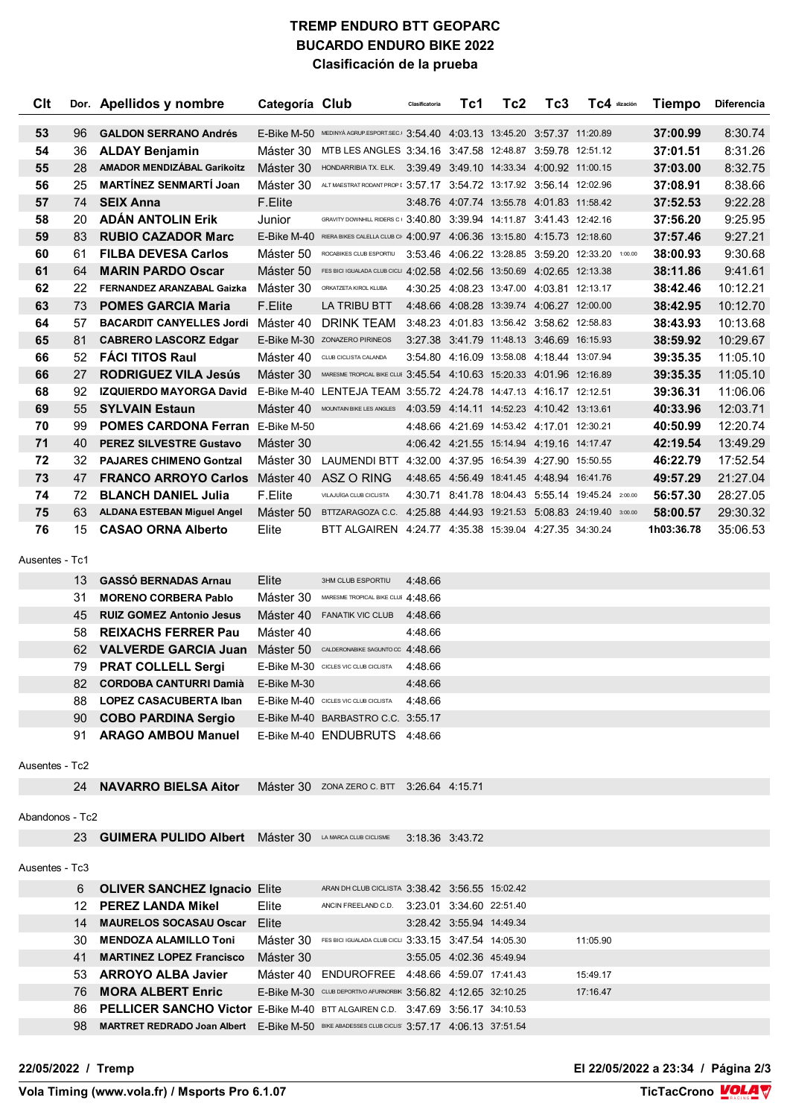## **TREMP ENDURO BTT GEOPARC BUCARDO ENDURO BIKE 2022 Clasificación de la prueba**

| Clt             |           | Dor. Apellidos y nombre                                                                            | Categoría Club |                                                                                   | Clasificatoria     | Tc1                      | Tc2                                           | Tc3 | TC4 ilización                                     | <b>Tiempo</b> | <b>Diferencia</b> |
|-----------------|-----------|----------------------------------------------------------------------------------------------------|----------------|-----------------------------------------------------------------------------------|--------------------|--------------------------|-----------------------------------------------|-----|---------------------------------------------------|---------------|-------------------|
| 53              | 96        | <b>GALDON SERRANO Andrés</b>                                                                       |                | E-Bike M-50 MEDINYA AGRUP.ESPORT.SEC. 3:54.40 4:03.13 13:45.20 3:57.37 11:20.89   |                    |                          |                                               |     |                                                   | 37:00.99      | 8:30.74           |
| 54              | 36        | <b>ALDAY Benjamin</b>                                                                              |                | Máster 30 MTB LES ANGLES 3:34.16 3:47.58 12:48.87 3:59.78 12:51.12                |                    |                          |                                               |     |                                                   | 37:01.51      | 8:31.26           |
| 55              | 28        | <b>AMADOR MENDIZÁBAL Garikoitz</b>                                                                 | Máster 30      | HONDARRIBIA TX. ELK. 3:39.49 3:49.10 14:33.34 4:00.92 11:00.15                    |                    |                          |                                               |     |                                                   | 37:03.00      | 8:32.75           |
| 56              | 25        | <b>MARTÍNEZ SENMARTÍ Joan</b>                                                                      | Máster 30      | ALT MAESTRAT RODANT PROP [ $3.57.17$ 3:54.72 13:17.92 3:56.14 12:02.96            |                    |                          |                                               |     |                                                   | 37:08.91      | 8:38.66           |
| 57              | 74        | <b>SEIX Anna</b>                                                                                   | F.Elite        |                                                                                   |                    |                          | 3:48.76 4:07.74 13:55.78 4:01.83 11:58.42     |     |                                                   | 37:52.53      | 9:22.28           |
| 58              | 20        | <b>ADÁN ANTOLIN Erik</b>                                                                           | Junior         | GRAVITY DOWNHILL RIDERS C 3:40.80 3:39.94 14:11.87 3:41.43 12:42.16               |                    |                          |                                               |     |                                                   | 37:56.20      | 9:25.95           |
| 59              | 83        | <b>RUBIO CAZADOR Marc</b>                                                                          |                | E-Bike M-40 RIERA BIKES CALELLA CLUB CI 4:00.97 4:06.36 13:15.80 4:15.73 12:18.60 |                    |                          |                                               |     |                                                   | 37:57.46      | 9:27.21           |
| 60              | 61        | <b>FILBA DEVESA Carlos</b>                                                                         | Máster 50      | ROCABIKES CLUB ESPORTIU                                                           |                    |                          |                                               |     | 3:53.46 4:06.22 13:28.85 3:59.20 12:33.20 1:00.00 | 38:00.93      | 9:30.68           |
| 61              | 64        | <b>MARIN PARDO Oscar</b>                                                                           | Máster 50      | FES BICI IGUALADA CLUB CICLI 4:02.58 4:02.56 13:50.69 4:02.65 12:13.38            |                    |                          |                                               |     |                                                   | 38:11.86      | 9:41.61           |
| 62              | 22        | FERNANDEZ ARANZABAL Gaizka                                                                         | Máster 30      | ORKATZETA KIROL KLUBA                                                             |                    |                          | 4:30.25 4:08.23 13:47.00 4:03.81 12:13.17     |     |                                                   | 38:42.46      | 10:12.21          |
| 63              | 73        | <b>POMES GARCIA Maria</b>                                                                          | F.Elite        | LA TRIBU BTT                                                                      |                    |                          | 4:48.66 4:08.28 13:39.74 4:06.27 12:00.00     |     |                                                   | 38:42.95      | 10:12.70          |
| 64              | 57        | <b>BACARDIT CANYELLES Jordi</b> Máster 40                                                          |                | DRINK TEAM                                                                        |                    |                          | 3:48.23 4:01.83 13:56.42 3:58.62 12:58.83     |     |                                                   | 38:43.93      | 10:13.68          |
| 65              | 81        | <b>CABRERO LASCORZ Edgar</b>                                                                       |                | E-Bike M-30 ZONAZERO PIRINEOS                                                     |                    |                          | 3:27.38 3:41.79 11:48.13 3:46.69 16:15.93     |     |                                                   | 38:59.92      | 10:29.67          |
| 66              | 52        | <b>FÁCI TITOS Raul</b>                                                                             | Máster 40      | CLUB CICLISTA CALANDA                                                             |                    |                          | 3:54.80 4:16.09 13:58.08 4:18.44 13:07.94     |     |                                                   | 39:35.35      | 11:05.10          |
| 66              | 27        | <b>RODRIGUEZ VILA Jesús</b>                                                                        |                | Máster 30 MARESME TROPICAL BIKE CLUE 3:45.54 4:10.63 15:20.33 4:01.96 12:16.89    |                    |                          |                                               |     |                                                   | 39:35.35      | 11:05.10          |
| 68              | 92        | <b>IZQUIERDO MAYORGA David</b>                                                                     |                | E-Bike M-40 LENTEJA TEAM 3:55.72 4:24.78 14:47.13 4:16.17 12:12.51                |                    |                          |                                               |     |                                                   | 39:36.31      | 11:06.06          |
| 69              | 55        | <b>SYLVAIN Estaun</b>                                                                              | Máster 40      | MOUNTAIN BIKE LES ANGLES                                                          |                    |                          | 4:03.59  4:14.11  14:52.23  4:10.42  13:13.61 |     |                                                   | 40:33.96      | 12:03.71          |
| 70              | 99        | <b>POMES CARDONA Ferran</b> E-Bike M-50                                                            |                |                                                                                   |                    |                          | 4:48.66 4:21.69 14:53.42 4:17.01 12:30.21     |     |                                                   | 40:50.99      | 12:20.74          |
| 71              | 40        | <b>PEREZ SILVESTRE Gustavo</b>                                                                     | Máster 30      |                                                                                   |                    |                          | 4:06.42 4:21.55 15:14.94 4:19.16 14:17.47     |     |                                                   | 42:19.54      | 13:49.29          |
| 72              | 32        | <b>PAJARES CHIMENO Gontzal</b>                                                                     | Máster 30      | LAUMENDI BTT 4:32.00 4:37.95 16:54.39 4:27.90 15:50.55                            |                    |                          |                                               |     |                                                   | 46:22.79      | 17:52.54          |
| 73              | 47        | <b>FRANCO ARROYO Carlos</b>                                                                        | Máster 40      | ASZ O RING                                                                        |                    |                          | 4:48.65 4:56.49 18:41.45 4:48.94 16:41.76     |     |                                                   | 49:57.29      | 21:27.04          |
| 74              | 72        | <b>BLANCH DANIEL Julia</b>                                                                         | F.Elite        | VILAJUÏGA CLUB CICLISTA                                                           |                    |                          |                                               |     | 4:30.71 8:41.78 18:04.43 5:55.14 19:45.24 2:00.00 | 56:57.30      | 28:27.05          |
| 75              | 63        | <b>ALDANA ESTEBAN Miguel Angel</b>                                                                 |                | Máster 50 BTTZARAGOZA C.C. 4:25.88 4:44.93 19:21.53 5:08.83 24:19.40 3:00.00      |                    |                          |                                               |     |                                                   | 58:00.57      | 29:30.32          |
| 76              | 15        | <b>CASAO ORNA Alberto</b>                                                                          | Elite          | BTT ALGAIREN 4:24.77 4:35.38 15:39.04 4:27.35 34:30.24                            |                    |                          |                                               |     |                                                   | 1h03:36.78    | 35:06.53          |
| Ausentes - Tc1  |           |                                                                                                    |                |                                                                                   |                    |                          |                                               |     |                                                   |               |                   |
|                 |           |                                                                                                    |                |                                                                                   |                    |                          |                                               |     |                                                   |               |                   |
|                 | 13        | <b>GASSO BERNADAS Arnau</b>                                                                        | Elite          | 3HM CLUB ESPORTIU                                                                 | 4:48.66            |                          |                                               |     |                                                   |               |                   |
|                 | 31        | <b>MORENO CORBERA Pablo</b>                                                                        | Máster 30      | MARESME TROPICAL BIKE CLUE 4:48.66                                                |                    |                          |                                               |     |                                                   |               |                   |
|                 | 45        | <b>RUIZ GOMEZ Antonio Jesus</b>                                                                    | Máster 40      | <b>FANATIK VIC CLUB</b>                                                           | 4:48.66            |                          |                                               |     |                                                   |               |                   |
|                 | 58        | <b>REIXACHS FERRER Pau</b>                                                                         | Máster 40      |                                                                                   | 4:48.66            |                          |                                               |     |                                                   |               |                   |
|                 | 62        | <b>VALVERDE GARCIA Juan</b>                                                                        | Máster 50      | CALDERONABIKE SAGUNTO CC 4:48.66                                                  |                    |                          |                                               |     |                                                   |               |                   |
|                 | 79        | <b>PRAT COLLELL Sergi</b>                                                                          |                | E-Bike M-30 CICLES VIC CLUB CICLISTA                                              | 4:48.66            |                          |                                               |     |                                                   |               |                   |
|                 | 82        | <b>CORDOBA CANTURRI Damià</b><br>LOPEZ CASACUBERTA Iban E-Bike M-40 CICLES VIC CLUB CICLISTA       | E-Bike M-30    |                                                                                   | 4:48.66<br>4:48.66 |                          |                                               |     |                                                   |               |                   |
|                 | 88.<br>90 |                                                                                                    |                |                                                                                   |                    |                          |                                               |     |                                                   |               |                   |
|                 | 91        | <b>COBO PARDINA Sergio</b><br><b>ARAGO AMBOU Manuel</b>                                            |                | E-Bike M-40 BARBASTRO C.C. 3:55.17                                                |                    |                          |                                               |     |                                                   |               |                   |
|                 |           |                                                                                                    |                | E-Bike M-40 ENDUBRUTS 4:48.66                                                     |                    |                          |                                               |     |                                                   |               |                   |
| Ausentes - Tc2  |           |                                                                                                    |                |                                                                                   |                    |                          |                                               |     |                                                   |               |                   |
|                 | 24        | <b>NAVARRO BIELSA Aitor</b>                                                                        |                | Máster 30 ZONA ZERO C. BTT 3:26.64 4:15.71                                        |                    |                          |                                               |     |                                                   |               |                   |
|                 |           |                                                                                                    |                |                                                                                   |                    |                          |                                               |     |                                                   |               |                   |
| Abandonos - Tc2 |           |                                                                                                    |                |                                                                                   |                    |                          |                                               |     |                                                   |               |                   |
|                 |           | 23 <b>GUIMERA PULIDO Albert</b> Máster 30 LA MARCA CLUB CICLISME                                   |                |                                                                                   |                    | 3:18.36 3:43.72          |                                               |     |                                                   |               |                   |
|                 |           |                                                                                                    |                |                                                                                   |                    |                          |                                               |     |                                                   |               |                   |
| Ausentes - Tc3  |           |                                                                                                    |                |                                                                                   |                    |                          |                                               |     |                                                   |               |                   |
|                 | 6         | <b>OLIVER SANCHEZ Ignacio Elite</b>                                                                |                | ARAN DH CLUB CICLISTA 3:38.42 3:56.55 15:02.42                                    |                    |                          |                                               |     |                                                   |               |                   |
|                 | 12        | <b>PEREZ LANDA Mikel</b>                                                                           | Elite          | ANCIN FREELAND C.D. 3:23.01 3:34.60 22:51.40                                      |                    |                          |                                               |     |                                                   |               |                   |
|                 | 14        | <b>MAURELOS SOCASAU Oscar</b> Elite                                                                |                |                                                                                   |                    | 3.28.42 3.55.94 14:49.34 |                                               |     |                                                   |               |                   |
|                 | 30-       | <b>MENDOZA ALAMILLO Toni</b>                                                                       |                | Máster 30 FES BICI IGUALADA CLUB CICLI 3:33.15 3:47.54 14:05.30                   |                    |                          |                                               |     | 11:05.90                                          |               |                   |
|                 | 41        | <b>MARTINEZ LOPEZ Francisco</b>                                                                    | Máster 30      |                                                                                   |                    | 3:55.05 4:02.36 45:49.94 |                                               |     |                                                   |               |                   |
|                 | 53.       | <b>ARROYO ALBA Javier</b>                                                                          |                | Máster 40 ENDUROFREE 4:48.66 4:59.07 17:41.43                                     |                    |                          |                                               |     | 15:49.17                                          |               |                   |
|                 | 76        | <b>MORA ALBERT Enric</b>                                                                           |                | E-Bike M-30 CLUB DEPORTIVO AFURNORBIK 3:56.82 4:12.65 32:10.25                    |                    |                          |                                               |     | 17:16.47                                          |               |                   |
|                 | 86        | <b>PELLICER SANCHO Victor</b> E-Bike M-40 BTT ALGAIREN C.D. 3:47.69 3:56.17 34:10.53               |                |                                                                                   |                    |                          |                                               |     |                                                   |               |                   |
|                 | 98        | <b>MARTRET REDRADO Joan Albert</b> E-Bike M-50 BIKE ABADESSES CLUB CICLIS 3:57.17 4:06.13 37:51.54 |                |                                                                                   |                    |                          |                                               |     |                                                   |               |                   |
|                 |           |                                                                                                    |                |                                                                                   |                    |                          |                                               |     |                                                   |               |                   |

**22/05/2022 / Tremp El 22/05/2022 a 23:34 / Página 2/3**